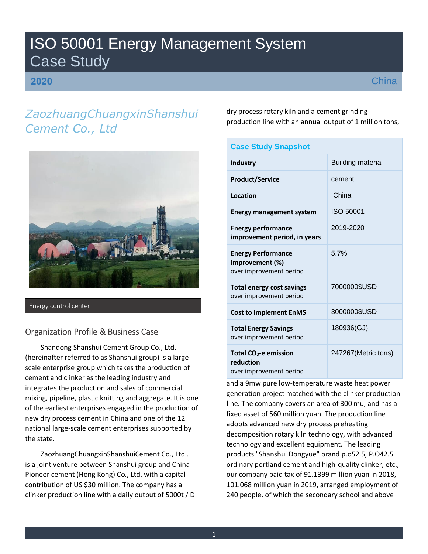# ISO 50001 Energy Management System Case Study

## **2020**

# *ZaozhuangChuangxinShanshui Cement Co., Ltd*



# Organization Profile & Business Case

Shandong Shanshui Cement Group Co., Ltd. (hereinafter referred to as Shanshui group) is a largescale enterprise group which takes the production of cement and clinker as the leading industry and integrates the production and sales of commercial mixing, pipeline, plastic knitting and aggregate. It is one of the earliest enterprises engaged in the production of new dry process cement in China and one of the 12 national large-scale cement enterprises supported by the state.

ZaozhuangChuangxinShanshuiCement Co., Ltd . is a joint venture between Shanshui group and China Pioneer cement (Hong Kong) Co., Ltd. with a capital contribution of US \$30 million. The company has a clinker production line with a daily output of 5000t / D dry process rotary kiln and a cement grinding production line with an annual output of 1 million tons,

| <b>Case Study Snapshot</b>                                                |                          |
|---------------------------------------------------------------------------|--------------------------|
| <b>Industry</b>                                                           | <b>Building material</b> |
| <b>Product/Service</b>                                                    | cement                   |
| Location                                                                  | China                    |
| <b>Energy management system</b>                                           | ISO 50001                |
| <b>Energy performance</b><br>improvement period, in years                 | 2019-2020                |
| <b>Energy Performance</b><br>Improvement (%)<br>over improvement period   | 5.7%                     |
| <b>Total energy cost savings</b><br>over improvement period               | 7000000\$USD             |
| <b>Cost to implement EnMS</b>                                             | 3000000\$USD             |
| <b>Total Energy Savings</b><br>over improvement period                    | 180936(GJ)               |
| Total CO <sub>2</sub> -e emission<br>reduction<br>over improvement period | 247267(Metric tons)      |

and a 9mw pure low-temperature waste heat power generation project matched with the clinker production line. The company covers an area of 300 mu, and has a fixed asset of 560 million yuan. The production line adopts advanced new dry process preheating decomposition rotary kiln technology, with advanced technology and excellent equipment. The leading products "Shanshui Dongyue" brand p.o52.5, P.O42.5 ordinary portland cement and high-quality clinker, etc., our company paid tax of 91.1399 million yuan in 2018, 101.068 million yuan in 2019, arranged employment of 240 people, of which the secondary school and above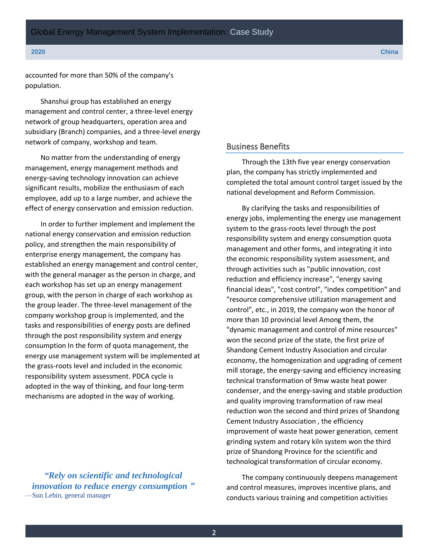accounted for more than 50% of the company's population.

Shanshui group has established an energy management and control center, a three-level energy network of group headquarters, operation area and subsidiary (Branch) companies, and a three-level energy network of company, workshop and team.

No matter from the understanding of energy management, energy management methods and energy-saving technology innovation can achieve significant results, mobilize the enthusiasm of each employee, add up to a large number, and achieve the effect of energy conservation and emission reduction.

In order to further implement and implement the national energy conservation and emission reduction policy, and strengthen the main responsibility of enterprise energy management, the company has established an energy management and control center, with the general manager as the person in charge, and each workshop has set up an energy management group, with the person in charge of each workshop as the group leader. The three-level management of the company workshop group is implemented, and the tasks and responsibilities of energy posts are defined through the post responsibility system and energy consumption In the form of quota management, the energy use management system will be implemented at the grass-roots level and included in the economic responsibility system assessment. PDCA cycle is adopted in the way of thinking, and four long-term mechanisms are adopted in the way of working.

*"Rely on scientific and technological innovation to reduce energy consumption "* —Sun Lebin, general manager

### Business Benefits

Through the 13th five year energy conservation plan, the company has strictly implemented and completed the total amount control target issued by the national development and Reform Commission.

By clarifying the tasks and responsibilities of energy jobs, implementing the energy use management system to the grass-roots level through the post responsibility system and energy consumption quota management and other forms, and integrating it into the economic responsibility system assessment, and through activities such as "public innovation, cost reduction and efficiency increase", "energy saving financial ideas", "cost control", "index competition" and "resource comprehensive utilization management and control", etc., in 2019, the company won the honor of more than 10 provincial level Among them, the "dynamic management and control of mine resources" won the second prize of the state, the first prize of Shandong Cement Industry Association and circular economy, the homogenization and upgrading of cement mill storage, the energy-saving and efficiency increasing technical transformation of 9mw waste heat power condenser, and the energy-saving and stable production and quality improving transformation of raw meal reduction won the second and third prizes of Shandong Cement Industry Association , the efficiency improvement of waste heat power generation, cement grinding system and rotary kiln system won the third prize of Shandong Province for the scientific and technological transformation of circular economy.

The company continuously deepens management and control measures, improves incentive plans, and conducts various training and competition activities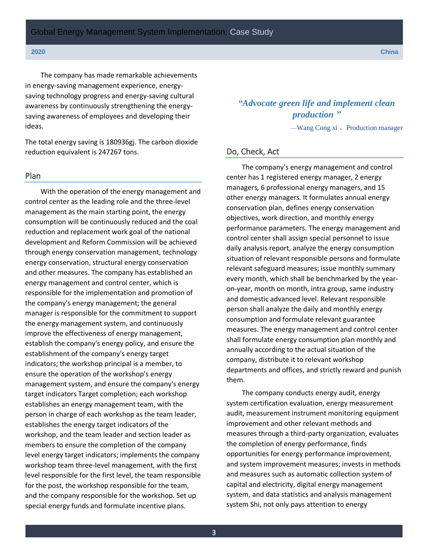The company has made remarkable achievements in energy-saving management experience, energysaving technology progress and energy-saving cultural awareness by continuously strengthening the energysaving awareness of employees and developing their ideas.

The total energy saving is 180936gj. The carbon dioxide reduction equivalent is 247267 tons.

#### Plan

With the operation of the energy management and control center as the leading role and the three-level management as the main starting point, the energy consumption will be continuously reduced and the coal reduction and replacement work goal of the national development and Reform Commission will be achieved through energy conservation management, technology energy conservation, structural energy conservation and other measures. The company has established an energy management and control center, which is responsible for the implementation and promotion of the company's energy management; the general manager is responsible for the commitment to support the energy management system, and continuously improve the effectiveness of energy management, establish the company's energy policy, and ensure the establishment of the company's energy target indicators; the workshop principal is a member, to ensure the operation of the workshop's energy management system, and ensure the company's energy target indicators Target completion; each workshop establishes an energy management team, with the person in charge of each workshop as the team leader, establishes the energy target indicators of the workshop, and the team leader and section leader as members to ensure the completion of the company level energy target indicators; implements the company workshop team three-level management, with the first level responsible for the first level, the team responsible for the post, the workshop responsible for the team, and the company responsible for the workshop. Set up special energy funds and formulate incentive plans.

*"Advocate green life and implement clean production "*

 $-Wang Cong xi$ , Production manager

### Do, Check, Act

The company's energy management and control center has 1 registered energy manager, 2 energy managers, 6 professional energy managers, and 15 other energy managers. It formulates annual energy conservation plan, defines energy conservation objectives, work direction, and monthly energy performance parameters. The energy management and control center shall assign special personnel to issue daily analysis report, analyze the energy consumption situation of relevant responsible persons and formulate relevant safeguard measures; issue monthly summary every month, which shall be benchmarked by the yearon-year, month on month, intra group, same industry and domestic advanced level. Relevant responsible person shall analyze the daily and monthly energy consumption and formulate relevant guarantee measures. The energy management and control center shall formulate energy consumption plan monthly and annually according to the actual situation of the company, distribute it to relevant workshop departments and offices, and strictly reward and punish them.

The company conducts energy audit, energy system certification evaluation, energy measurement audit, measurement instrument monitoring equipment improvement and other relevant methods and measures through a third-party organization, evaluates the completion of energy performance, finds opportunities for energy performance improvement, and system improvement measures; invests in methods and measures such as automatic collection system of capital and electricity, digital energy management system, and data statistics and analysis management system Shi, not only pays attention to energy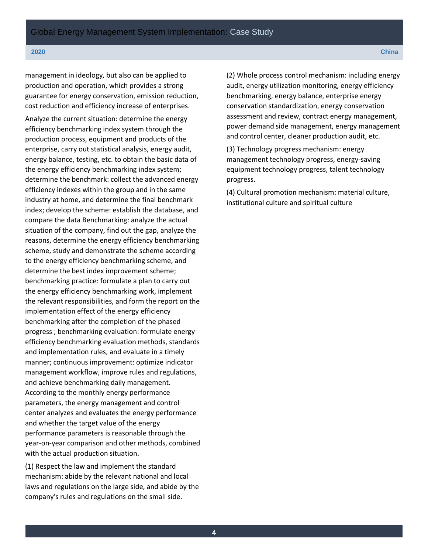management in ideology, but also can be applied to production and operation, which provides a strong guarantee for energy conservation, emission reduction, cost reduction and efficiency increase of enterprises.

Analyze the current situation: determine the energy efficiency benchmarking index system through the production process, equipment and products of the enterprise, carry out statistical analysis, energy audit, energy balance, testing, etc. to obtain the basic data of the energy efficiency benchmarking index system; determine the benchmark: collect the advanced energy efficiency indexes within the group and in the same industry at home, and determine the final benchmark index; develop the scheme: establish the database, and compare the data Benchmarking: analyze the actual situation of the company, find out the gap, analyze the reasons, determine the energy efficiency benchmarking scheme, study and demonstrate the scheme according to the energy efficiency benchmarking scheme, and determine the best index improvement scheme; benchmarking practice: formulate a plan to carry out the energy efficiency benchmarking work, implement the relevant responsibilities, and form the report on the implementation effect of the energy efficiency benchmarking after the completion of the phased progress ; benchmarking evaluation: formulate energy efficiency benchmarking evaluation methods, standards and implementation rules, and evaluate in a timely manner; continuous improvement: optimize indicator management workflow, improve rules and regulations, and achieve benchmarking daily management. According to the monthly energy performance parameters, the energy management and control center analyzes and evaluates the energy performance and whether the target value of the energy performance parameters is reasonable through the year-on-year comparison and other methods, combined with the actual production situation.

(1) Respect the law and implement the standard mechanism: abide by the relevant national and local laws and regulations on the large side, and abide by the company's rules and regulations on the small side.

(2) Whole process control mechanism: including energy audit, energy utilization monitoring, energy efficiency benchmarking, energy balance, enterprise energy conservation standardization, energy conservation assessment and review, contract energy management, power demand side management, energy management and control center, cleaner production audit, etc.

(3) Technology progress mechanism: energy management technology progress, energy-saving equipment technology progress, talent technology progress.

(4) Cultural promotion mechanism: material culture, institutional culture and spiritual culture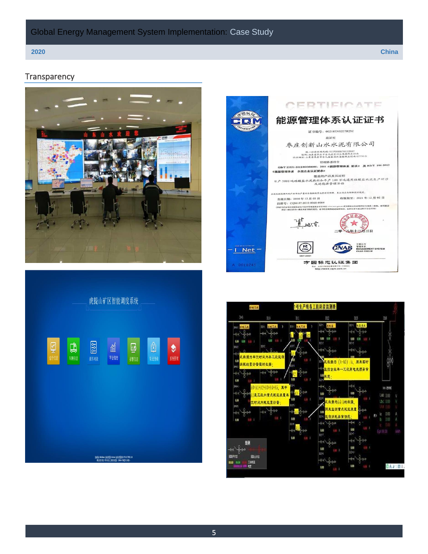## Global Energy Management System Implementation: Case Study

### **Transparency**